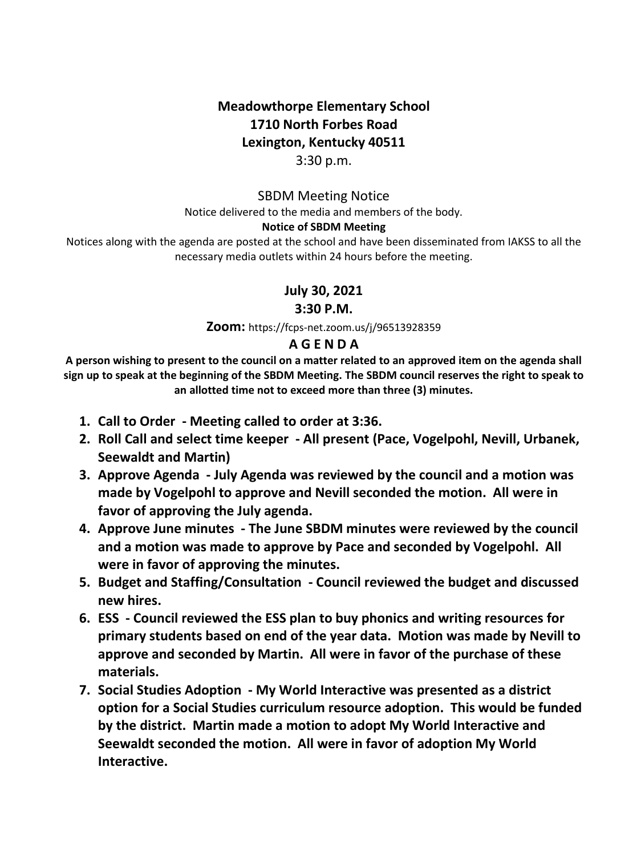# **Meadowthorpe Elementary School 1710 North Forbes Road Lexington, Kentucky 40511**

## 3:30 p.m.

### SBDM Meeting Notice Notice delivered to the media and members of the body. **Notice of SBDM Meeting**

Notices along with the agenda are posted at the school and have been disseminated from IAKSS to all the necessary media outlets within 24 hours before the meeting.

## **July 30, 2021**

### **3:30 P.M.**

**Zoom:** https://fcps-net.zoom.us/j/96513928359

## **A G E N D A**

**A person wishing to present to the council on a matter related to an approved item on the agenda shall sign up to speak at the beginning of the SBDM Meeting. The SBDM council reserves the right to speak to an allotted time not to exceed more than three (3) minutes.**

- **1. Call to Order - Meeting called to order at 3:36.**
- **2. Roll Call and select time keeper - All present (Pace, Vogelpohl, Nevill, Urbanek, Seewaldt and Martin)**
- **3. Approve Agenda - July Agenda was reviewed by the council and a motion was made by Vogelpohl to approve and Nevill seconded the motion. All were in favor of approving the July agenda.**
- **4. Approve June minutes - The June SBDM minutes were reviewed by the council and a motion was made to approve by Pace and seconded by Vogelpohl. All were in favor of approving the minutes.**
- **5. Budget and Staffing/Consultation - Council reviewed the budget and discussed new hires.**
- **6. ESS - Council reviewed the ESS plan to buy phonics and writing resources for primary students based on end of the year data. Motion was made by Nevill to approve and seconded by Martin. All were in favor of the purchase of these materials.**
- **7. Social Studies Adoption - My World Interactive was presented as a district option for a Social Studies curriculum resource adoption. This would be funded by the district. Martin made a motion to adopt My World Interactive and Seewaldt seconded the motion. All were in favor of adoption My World Interactive.**